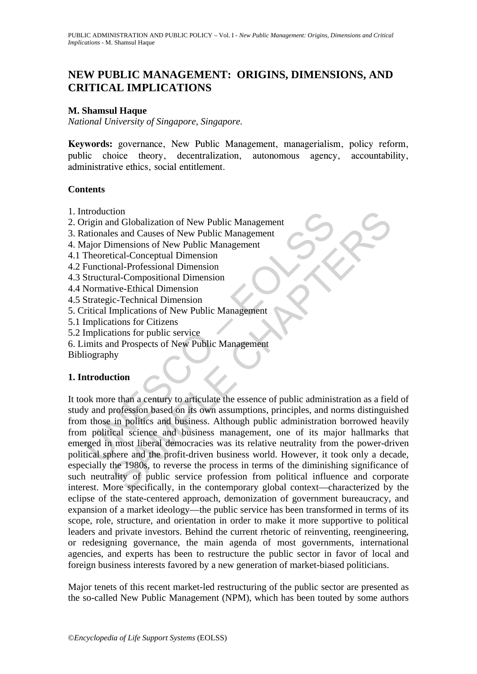# **NEW PUBLIC MANAGEMENT: ORIGINS, DIMENSIONS, AND CRITICAL IMPLICATIONS**

### **M. Shamsul Haque**

*National University of Singapore, Singapore.* 

**Keywords:** governance, New Public Management, managerialism, policy reform, public choice theory, decentralization, autonomous agency, accountability, administrative ethics, social entitlement.

#### **Contents**

- 1. Introduction
- 2. Origin and Globalization of New Public Management
- 3. Rationales and Causes of New Public Management
- 4. Major Dimensions of New Public Management
- 4.1 Theoretical-Conceptual Dimension
- 4.2 Functional-Professional Dimension
- 4.3 Structural-Compositional Dimension
- 4.4 Normative-Ethical Dimension
- 4.5 Strategic-Technical Dimension
- 5. Critical Implications of New Public Management
- 5.1 Implications for Citizens
- 5.2 Implications for public service
- 6. Limits and Prospects of New Public Management

Bibliography

#### **1. Introduction**

n and Globalization of New Public Management<br>
rigin and Globalization of New Public Management<br>
Aajor Dimensions of New Public Management<br>
Theoretical Conceptual Dimension<br>
Functional-Professional Dimension<br>
Structural-Com ton<br>
and Globalization of New Public Management<br>
es and Causes of New Public Management<br>
imensions of New Public Management<br>
tical-Conceptual Dimension<br>
ral-Compositional Dimension<br>
ral-Compositional Dimension<br>
tical-Compo It took more than a century to articulate the essence of public administration as a field of study and profession based on its own assumptions, principles, and norms distinguished from those in politics and business. Although public administration borrowed heavily from political science and business management, one of its major hallmarks that emerged in most liberal democracies was its relative neutrality from the power-driven political sphere and the profit-driven business world. However, it took only a decade, especially the 1980s, to reverse the process in terms of the diminishing significance of such neutrality of public service profession from political influence and corporate interest. More specifically, in the contemporary global context—characterized by the eclipse of the state-centered approach, demonization of government bureaucracy, and expansion of a market ideology—the public service has been transformed in terms of its scope, role, structure, and orientation in order to make it more supportive to political leaders and private investors. Behind the current rhetoric of reinventing, reengineering, or redesigning governance, the main agenda of most governments, international agencies, and experts has been to restructure the public sector in favor of local and foreign business interests favored by a new generation of market-biased politicians.

Major tenets of this recent market-led restructuring of the public sector are presented as the so-called New Public Management (NPM), which has been touted by some authors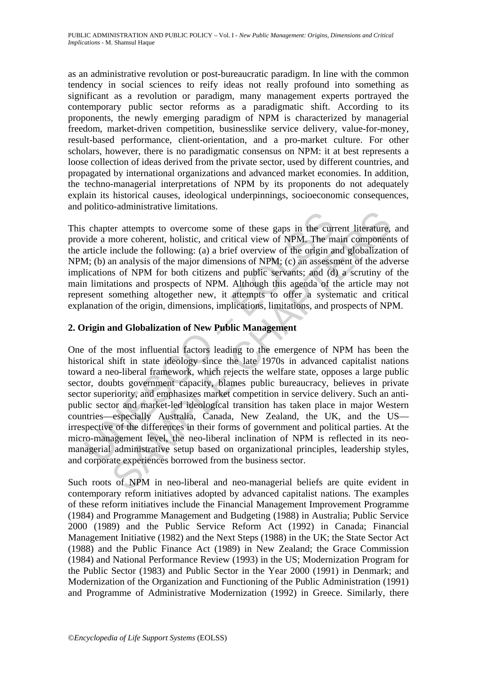as an administrative revolution or post-bureaucratic paradigm. In line with the common tendency in social sciences to reify ideas not really profound into something as significant as a revolution or paradigm, many management experts portrayed the contemporary public sector reforms as a paradigmatic shift. According to its proponents, the newly emerging paradigm of NPM is characterized by managerial freedom, market-driven competition, businesslike service delivery, value-for-money, result-based performance, client-orientation, and a pro-market culture. For other scholars, however, there is no paradigmatic consensus on NPM: it at best represents a loose collection of ideas derived from the private sector, used by different countries, and propagated by international organizations and advanced market economies. In addition, the techno-managerial interpretations of NPM by its proponents do not adequately explain its historical causes, ideological underpinnings, socioeconomic consequences, and politico-administrative limitations.

This chapter attempts to overcome some of these gaps in the current literature, and provide a more coherent, holistic, and critical view of NPM. The main components of the article include the following: (a) a brief overview of the origin and globalization of NPM; (b) an analysis of the major dimensions of NPM; (c) an assessment of the adverse implications of NPM for both citizens and public servants; and (d) a scrutiny of the main limitations and prospects of NPM. Although this agenda of the article may not represent something altogether new, it attempts to offer a systematic and critical explanation of the origin, dimensions, implications, limitations, and prospects of NPM.

## **2. Origin and Globalization of New Public Management**

<sup>1</sup><br>
is chapter attempts to overcome some of these gaps in the curide a more coherent, holistic, and critical view of NPM. The marticle include the following: (a) a brief overview of the origin and, i. (b) an analysis of t re attempts to overcome some of these gaps in the current literature,<br>nonce coherent, holistic, and critical view of NPM. The main component<br>include the following: (a) a brief overview of the origin and globalization<br>in an One of the most influential factors leading to the emergence of NPM has been the historical shift in state ideology since the late 1970s in advanced capitalist nations toward a neo-liberal framework, which rejects the welfare state, opposes a large public sector, doubts government capacity, blames public bureaucracy, believes in private sector superiority, and emphasizes market competition in service delivery. Such an antipublic sector and market-led ideological transition has taken place in major Western countries—especially Australia, Canada, New Zealand, the UK, and the US irrespective of the differences in their forms of government and political parties. At the micro-management level, the neo-liberal inclination of NPM is reflected in its neomanagerial administrative setup based on organizational principles, leadership styles, and corporate experiences borrowed from the business sector.

Such roots of NPM in neo-liberal and neo-managerial beliefs are quite evident in contemporary reform initiatives adopted by advanced capitalist nations. The examples of these reform initiatives include the Financial Management Improvement Programme (1984) and Programme Management and Budgeting (1988) in Australia; Public Service 2000 (1989) and the Public Service Reform Act (1992) in Canada; Financial Management Initiative (1982) and the Next Steps (1988) in the UK; the State Sector Act (1988) and the Public Finance Act (1989) in New Zealand; the Grace Commission (1984) and National Performance Review (1993) in the US; Modernization Program for the Public Sector (1983) and Public Sector in the Year 2000 (1991) in Denmark; and Modernization of the Organization and Functioning of the Public Administration (1991) and Programme of Administrative Modernization (1992) in Greece. Similarly, there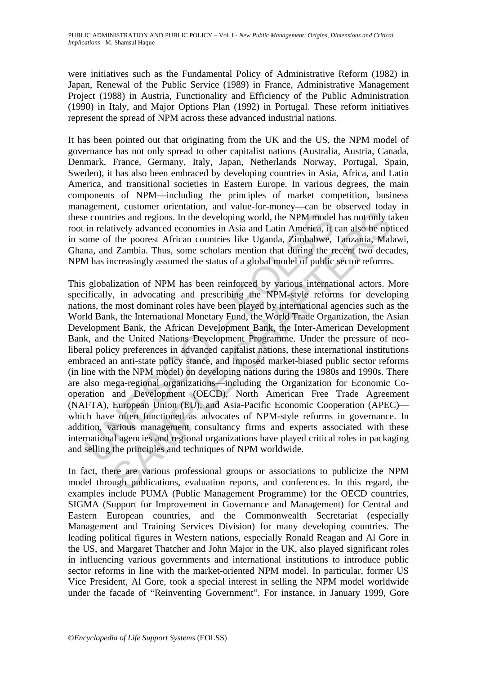were initiatives such as the Fundamental Policy of Administrative Reform (1982) in Japan, Renewal of the Public Service (1989) in France, Administrative Management Project (1988) in Austria, Functionality and Efficiency of the Public Administration (1990) in Italy, and Major Options Plan (1992) in Portugal. These reform initiatives represent the spread of NPM across these advanced industrial nations.

It has been pointed out that originating from the UK and the US, the NPM model of governance has not only spread to other capitalist nations (Australia, Austria, Canada, Denmark, France, Germany, Italy, Japan, Netherlands Norway, Portugal, Spain, Sweden), it has also been embraced by developing countries in Asia, Africa, and Latin America, and transitional societies in Eastern Europe. In various degrees, the main components of NPM—including the principles of market competition, business management, customer orientation, and value-for-money—can be observed today in these countries and regions. In the developing world, the NPM model has not only taken root in relatively advanced economies in Asia and Latin America, it can also be noticed in some of the poorest African countries like Uganda, Zimbabwe, Tanzania, Malawi, Ghana, and Zambia. Thus, some scholars mention that during the recent two decades, NPM has increasingly assumed the status of a global model of public sector reforms.

e countries and regions. In the developing world, the NPM model<br>in relatively advanced economies in Asia and Latin America, it of<br>ome of the poorest African countries like Uganda, Zimbabwe,<br>ma, and Zambia. Thus, some schol tries and regions. In the developing world, the NPM model has not only tarties and regions. In the developing world, the NPM model has not only to the poorest African countries like Uganda, Zimbia, Malayabwe, Tanzania, Mal This globalization of NPM has been reinforced by various international actors. More specifically, in advocating and prescribing the NPM-style reforms for developing nations, the most dominant roles have been played by international agencies such as the World Bank, the International Monetary Fund, the World Trade Organization, the Asian Development Bank, the African Development Bank, the Inter-American Development Bank, and the United Nations Development Programme. Under the pressure of neoliberal policy preferences in advanced capitalist nations, these international institutions embraced an anti-state policy stance, and imposed market-biased public sector reforms (in line with the NPM model) on developing nations during the 1980s and 1990s. There are also mega-regional organizations—including the Organization for Economic Cooperation and Development (OECD), North American Free Trade Agreement (NAFTA), European Union (EU), and Asia-Pacific Economic Cooperation (APEC) which have often functioned as advocates of NPM-style reforms in governance. In addition, various management consultancy firms and experts associated with these international agencies and regional organizations have played critical roles in packaging and selling the principles and techniques of NPM worldwide.

In fact, there are various professional groups or associations to publicize the NPM model through publications, evaluation reports, and conferences. In this regard, the examples include PUMA (Public Management Programme) for the OECD countries, SIGMA (Support for Improvement in Governance and Management) for Central and Eastern European countries, and the Commonwealth Secretariat (especially Management and Training Services Division) for many developing countries. The leading political figures in Western nations, especially Ronald Reagan and Al Gore in the US, and Margaret Thatcher and John Major in the UK, also played significant roles in influencing various governments and international institutions to introduce public sector reforms in line with the market-oriented NPM model. In particular, former US Vice President, Al Gore, took a special interest in selling the NPM model worldwide under the facade of "Reinventing Government". For instance, in January 1999, Gore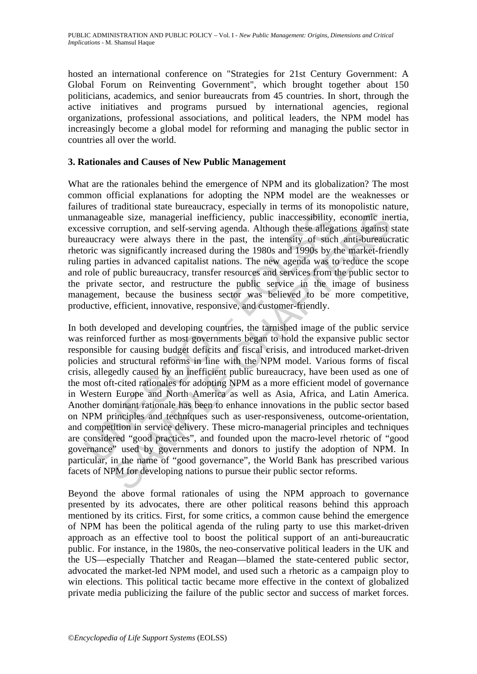hosted an international conference on "Strategies for 21st Century Government: A Global Forum on Reinventing Government", which brought together about 150 politicians, academics, and senior bureaucrats from 45 countries. In short, through the active initiatives and programs pursued by international agencies, regional organizations, professional associations, and political leaders, the NPM model has increasingly become a global model for reforming and managing the public sector in countries all over the world.

#### **3. Rationales and Causes of New Public Management**

What are the rationales behind the emergence of NPM and its globalization? The most common official explanations for adopting the NPM model are the weaknesses or failures of traditional state bureaucracy, especially in terms of its monopolistic nature, unmanageable size, managerial inefficiency, public inaccessibility, economic inertia, excessive corruption, and self-serving agenda. Although these allegations against state bureaucracy were always there in the past, the intensity of such anti-bureaucratic rhetoric was significantly increased during the 1980s and 1990s by the market-friendly ruling parties in advanced capitalist nations. The new agenda was to reduce the scope and role of public bureaucracy, transfer resources and services from the public sector to the private sector, and restructure the public service in the image of business management, because the business sector was believed to be more competitive, productive, efficient, innovative, responsive, and customer-friendly.

anageable size, managerial inefficiency, public inaccessibility,<br>sesive corruption, and self-serving agenda. Although these allega<br>aucracy were always there in the past, the intensity of such<br>oric was significantly increas ble size, managerial inefficiency, public inaccessibility, economic ineorruption, and self-serving agenda. Although these allegations against s or were always there in the past, the intensity of such anti-bureaucry is as s In both developed and developing countries, the tarnished image of the public service was reinforced further as most governments began to hold the expansive public sector responsible for causing budget deficits and fiscal crisis, and introduced market-driven policies and structural reforms in line with the NPM model. Various forms of fiscal crisis, allegedly caused by an inefficient public bureaucracy, have been used as one of the most oft-cited rationales for adopting NPM as a more efficient model of governance in Western Europe and North America as well as Asia, Africa, and Latin America. Another dominant rationale has been to enhance innovations in the public sector based on NPM principles and techniques such as user-responsiveness, outcome-orientation, and competition in service delivery. These micro-managerial principles and techniques are considered "good practices", and founded upon the macro-level rhetoric of "good governance" used by governments and donors to justify the adoption of NPM. In particular, in the name of "good governance", the World Bank has prescribed various facets of NPM for developing nations to pursue their public sector reforms.

Beyond the above formal rationales of using the NPM approach to governance presented by its advocates, there are other political reasons behind this approach mentioned by its critics. First, for some critics, a common cause behind the emergence of NPM has been the political agenda of the ruling party to use this market-driven approach as an effective tool to boost the political support of an anti-bureaucratic public. For instance, in the 1980s, the neo-conservative political leaders in the UK and the US—especially Thatcher and Reagan—blamed the state-centered public sector, advocated the market-led NPM model, and used such a rhetoric as a campaign ploy to win elections. This political tactic became more effective in the context of globalized private media publicizing the failure of the public sector and success of market forces.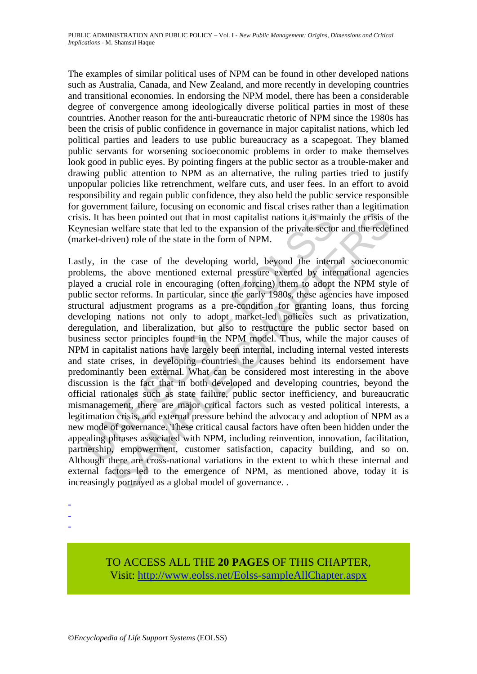The examples of similar political uses of NPM can be found in other developed nations such as Australia, Canada, and New Zealand, and more recently in developing countries and transitional economies. In endorsing the NPM model, there has been a considerable degree of convergence among ideologically diverse political parties in most of these countries. Another reason for the anti-bureaucratic rhetoric of NPM since the 1980s has been the crisis of public confidence in governance in major capitalist nations, which led political parties and leaders to use public bureaucracy as a scapegoat. They blamed public servants for worsening socioeconomic problems in order to make themselves look good in public eyes. By pointing fingers at the public sector as a trouble-maker and drawing public attention to NPM as an alternative, the ruling parties tried to justify unpopular policies like retrenchment, welfare cuts, and user fees. In an effort to avoid responsibility and regain public confidence, they also held the public service responsible for government failure, focusing on economic and fiscal crises rather than a legitimation crisis. It has been pointed out that in most capitalist nations it is mainly the crisis of the Keynesian welfare state that led to the expansion of the private sector and the redefined (market-driven) role of the state in the form of NPM.

is. It has been pointed out that in most capitalist nations it is main<br>mesian welfare state that led to the expansion of the private secto<br>rket-driven) role of the state in the form of NPM.<br>Uy, in the case of the developin is been pointed out that in most capitalist nations it is mainly the erisis of welfare state that led to the expansion of the private sector and the redefectiven) role of the state in the form of NPM.<br>
the case of the deve Lastly, in the case of the developing world, beyond the internal socioeconomic problems, the above mentioned external pressure exerted by international agencies played a crucial role in encouraging (often forcing) them to adopt the NPM style of public sector reforms. In particular, since the early 1980s, these agencies have imposed structural adjustment programs as a pre-condition for granting loans, thus forcing developing nations not only to adopt market-led policies such as privatization, deregulation, and liberalization, but also to restructure the public sector based on business sector principles found in the NPM model. Thus, while the major causes of NPM in capitalist nations have largely been internal, including internal vested interests and state crises, in developing countries the causes behind its endorsement have predominantly been external. What can be considered most interesting in the above discussion is the fact that in both developed and developing countries, beyond the official rationales such as state failure, public sector inefficiency, and bureaucratic mismanagement, there are major critical factors such as vested political interests, a legitimation crisis, and external pressure behind the advocacy and adoption of NPM as a new mode of governance. These critical causal factors have often been hidden under the appealing phrases associated with NPM, including reinvention, innovation, facilitation, partnership, empowerment, customer satisfaction, capacity building, and so on. Although there are cross-national variations in the extent to which these internal and external factors led to the emergence of NPM, as mentioned above, today it is increasingly portrayed as a global model of governance. .

- -
- -

TO ACCESS ALL THE **20 PAGES** OF THIS CHAPTER, Visit[: http://www.eolss.net/Eolss-sampleAllChapter.aspx](https://www.eolss.net/ebooklib/sc_cart.aspx?File=E1-34-04-01)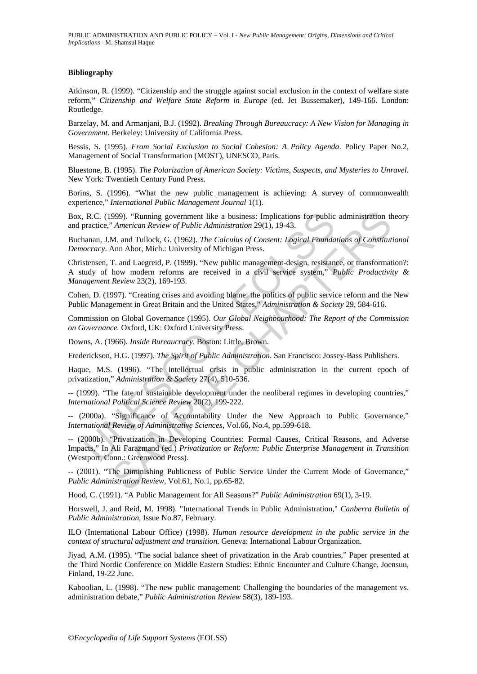#### **Bibliography**

Atkinson, R. (1999). "Citizenship and the struggle against social exclusion in the context of welfare state reform," *Citizenship and Welfare State Reform in Europe* (ed. Jet Bussemaker), 149-166. London: Routledge.

Barzelay, M. and Armanjani, B.J. (1992). *Breaking Through Bureaucracy: A New Vision for Managing in Government*. Berkeley: University of California Press.

Bessis, S. (1995). *From Social Exclusion to Social Cohesion: A Policy Agenda*. Policy Paper No.2, Management of Social Transformation (MOST), UNESCO, Paris.

Bluestone, B. (1995). *The Polarization of American Society: Victims, Suspects, and Mysteries to Unravel*. New York: Twentieth Century Fund Press.

Borins, S. (1996). "What the new public management is achieving: A survey of commonwealth experience," *International Public Management Journal* 1(1).

Box, R.C. (1999). "Running government like a business: Implications for public administration theory and practice," *American Review of Public Administration* 29(1), 19-43.

Buchanan, J.M. and Tullock, G. (1962). *The Calculus of Consent: Logical Foundations of Constitutional Democracy*. Ann Abor, Mich.: University of Michigan Press.

R.C. (1999). "Running government like a business: Implications for public<br>varctice," American Review of Public Administration 29(1), 19-43.<br>
ananan, J.M. and Tullock, G. (1962). The Calculus of Consent: Logical Founda<br>
ocr 999). "Running government like a business: Implications for public administration the *American Review of Public Administration* 29(1), 19-43.<br>
M. and Tulock, G. (1962). The *Calculus of Consent: Logical Foundations of Co* Christensen, T. and Laegreid, P. (1999). "New public management-design, resistance, or transformation?: A study of how modern reforms are received in a civil service system," *Public Productivity & Management Review* 23(2), 169-193.

Cohen, D. (1997). "Creating crises and avoiding blame: the politics of public service reform and the New Public Management in Great Britain and the United States," *Administration & Society* 29, 584-616.

Commission on Global Governance (1995). *Our Global Neighbourhood: The Report of the Commission on Governance.* Oxford, UK: Oxford University Press.

Downs, A. (1966). *Inside Bureaucracy*. Boston: Little, Brown.

Frederickson, H.G. (1997). *The Spirit of Public Administration*. San Francisco: Jossey-Bass Publishers.

Haque, M.S. (1996). "The intellectual crisis in public administration in the current epoch of privatization," *Administration & Society* 27(4), 510-536.

-- (1999). "The fate of sustainable development under the neoliberal regimes in developing countries," *International Political Science Review* 20(2), 199-222.

-- (2000a). "Significance of Accountability Under the New Approach to Public Governance," *International Review of Administrative Sciences,* Vol.66, No.4, pp.599-618.

-- (2000b). "Privatization in Developing Countries: Formal Causes, Critical Reasons, and Adverse Impacts," In Ali Farazmand (ed.) *Privatization or Reform: Public Enterprise Management in Transition*  (Westport, Conn.: Greenwood Press).

-- (2001). "The Diminishing Publicness of Public Service Under the Current Mode of Governance," *Public Administration Review,* Vol.61, No.1, pp.65-82.

Hood, C. (1991). "A Public Management for All Seasons?" *Public Administration* 69(1), 3-19.

Horswell, J. and Reid, M. 1998). "International Trends in Public Administration," *Canberra Bulletin of Public Administration*, Issue No.87, February.

ILO (International Labour Office) (1998). *Human resource development in the public service in the context of structural adjustment and transition*. Geneva: International Labour Organization.

Jiyad, A.M. (1995). "The social balance sheet of privatization in the Arab countries," Paper presented at the Third Nordic Conference on Middle Eastern Studies: Ethnic Encounter and Culture Change, Joensuu, Finland, 19-22 June.

Kaboolian, L. (1998). "The new public management: Challenging the boundaries of the management vs. administration debate," *Public Administration Review* 58(3), 189-193.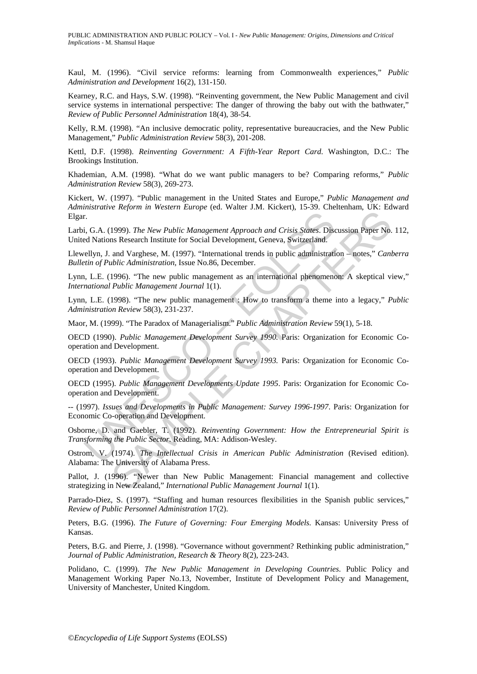Kaul, M. (1996). "Civil service reforms: learning from Commonwealth experiences," *Public Administration and Development* 16(2), 131-150.

Kearney, R.C. and Hays, S.W. (1998). "Reinventing government, the New Public Management and civil service systems in international perspective: The danger of throwing the baby out with the bathwater," *Review of Public Personnel Administration* 18(4), 38-54.

Kelly, R.M. (1998). "An inclusive democratic polity, representative bureaucracies, and the New Public Management," *Public Administration Review* 58(3), 201-208.

Kettl, D.F. (1998). *Reinventing Government: A Fifth-Year Report Card*. Washington, D.C.: The Brookings Institution.

Khademian, A.M. (1998). "What do we want public managers to be? Comparing reforms," *Public Administration Review* 58(3), 269-273.

Kickert, W. (1997). "Public management in the United States and Europe," *Public Management and Administrative Reform in Western Europe* (ed. Walter J.M. Kickert), 15-39. Cheltenham, UK: Edward Elgar.

r.<br>
i, G.A. (1999). The New Public Management Approach and Crisis States. Diseared Nations Research Institute for Social Development, Geneva, Switzerland.<br>
Lellyn, J. and Varghese, M. (1997). "International trends in publi The New Public Management Approach and Crisis States. Discussion Paper No.<br>1999). The New Public Management Approach and Crisis States. Discussion Paper No.<br>1999). The New Public Management Approach and Crisis States. Disc Larbi, G.A. (1999). *The New Public Management Approach and Crisis States*. Discussion Paper No. 112, United Nations Research Institute for Social Development, Geneva, Switzerland.

Llewellyn, J. and Varghese, M. (1997). "International trends in public administration – notes," *Canberra Bulletin of Public Administration*, Issue No.86, December.

Lynn, L.E. (1996). "The new public management as an international phenomenon: A skeptical view," *International Public Management Journal* 1(1).

Lynn, L.E. (1998). "The new public management : How to transform a theme into a legacy," *Public Administration Review* 58(3), 231-237.

Maor, M. (1999). "The Paradox of Managerialism." *Public Administration Review* 59(1), 5-18.

OECD (1990). *Public Management Development Survey 1990.* Paris: Organization for Economic Cooperation and Development.

OECD (1993). *Public Management Development Survey 1993.* Paris: Organization for Economic Cooperation and Development.

OECD (1995). *Public Management Developments Update 1995*. Paris: Organization for Economic Cooperation and Development.

-- (1997). *Issues and Developments in Public Management: Survey 1996-1997*. Paris: Organization for Economic Co-operation and Development.

Osborne, D. and Gaebler, T. (1992). *Reinventing Government: How the Entrepreneurial Spirit is Transforming the Public Sector.* Reading, MA: Addison-Wesley.

Ostrom, V. (1974). *The Intellectual Crisis in American Public Administration* (Revised edition). Alabama: The University of Alabama Press.

Pallot, J. (1996). "Newer than New Public Management: Financial management and collective strategizing in New Zealand," *International Public Management Journal* 1(1).

Parrado-Diez, S. (1997). "Staffing and human resources flexibilities in the Spanish public services," *Review of Public Personnel Administration* 17(2).

Peters, B.G. (1996). *The Future of Governing: Four Emerging Models.* Kansas: University Press of Kansas.

Peters, B.G. and Pierre, J. (1998). "Governance without government? Rethinking public administration," *Journal of Public Administration, Research & Theory* 8(2), 223-243.

Polidano, C. (1999). *The New Public Management in Developing Countries*. Public Policy and Management Working Paper No.13, November, Institute of Development Policy and Management, University of Manchester, United Kingdom.